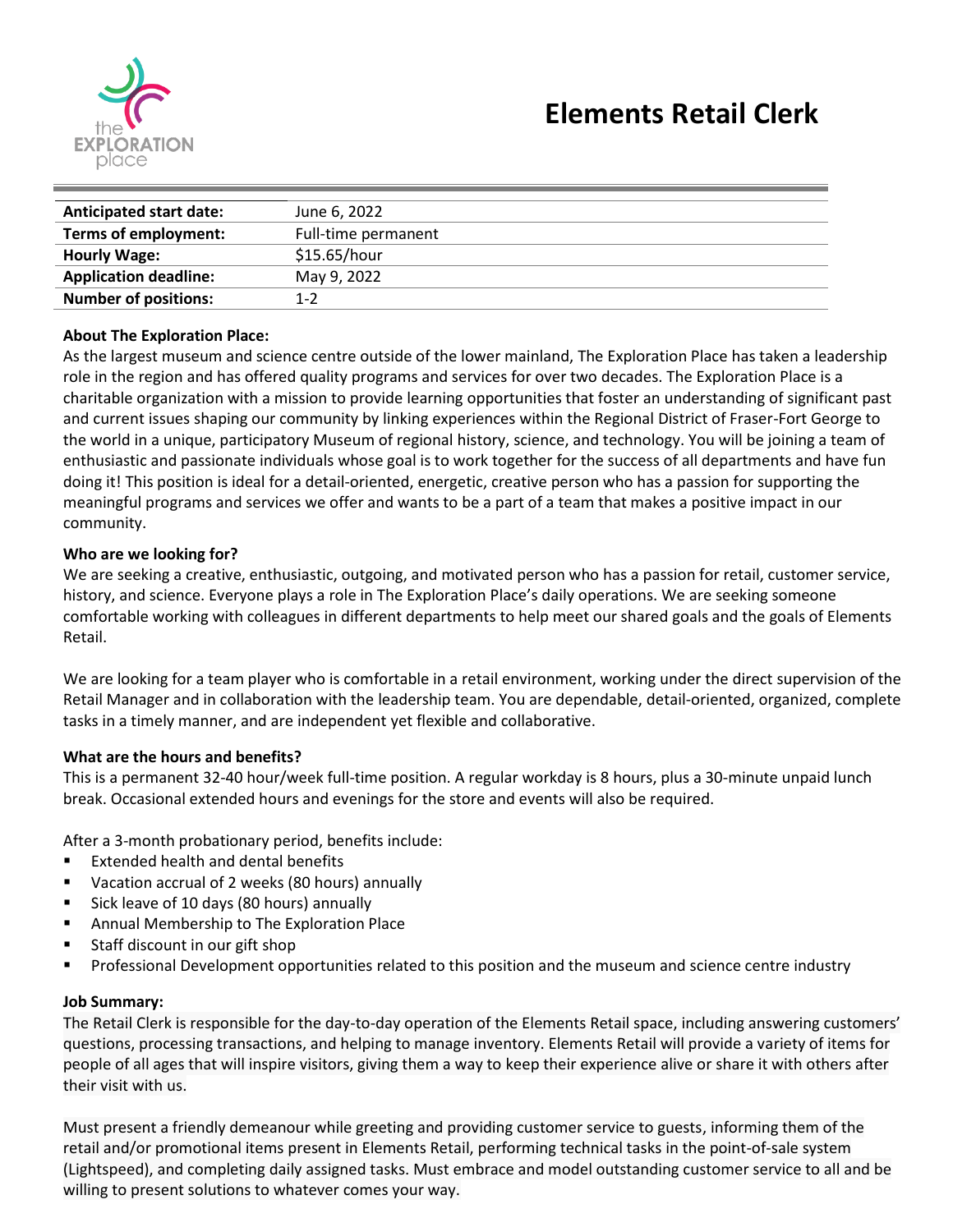

| <b>Anticipated start date:</b> | June 6, 2022        |
|--------------------------------|---------------------|
| Terms of employment:           | Full-time permanent |
| <b>Hourly Wage:</b>            | \$15.65/hour        |
| <b>Application deadline:</b>   | May 9, 2022         |
| <b>Number of positions:</b>    | $1 - 2$             |

#### **About The Exploration Place:**

As the largest museum and science centre outside of the lower mainland, The Exploration Place has taken a leadership role in the region and has offered quality programs and services for over two decades. The Exploration Place is a charitable organization with a mission to provide learning opportunities that foster an understanding of significant past and current issues shaping our community by linking experiences within the Regional District of Fraser-Fort George to the world in a unique, participatory Museum of regional history, science, and technology. You will be joining a team of enthusiastic and passionate individuals whose goal is to work together for the success of all departments and have fun doing it! This position is ideal for a detail-oriented, energetic, creative person who has a passion for supporting the meaningful programs and services we offer and wants to be a part of a team that makes a positive impact in our community.

#### **Who are we looking for?**

We are seeking a creative, enthusiastic, outgoing, and motivated person who has a passion for retail, customer service, history, and science. Everyone plays a role in The Exploration Place's daily operations. We are seeking someone comfortable working with colleagues in different departments to help meet our shared goals and the goals of Elements Retail.

We are looking for a team player who is comfortable in a retail environment, working under the direct supervision of the Retail Manager and in collaboration with the leadership team. You are dependable, detail-oriented, organized, complete tasks in a timely manner, and are independent yet flexible and collaborative.

### **What are the hours and benefits?**

This is a permanent 32-40 hour/week full-time position. A regular workday is 8 hours, plus a 30-minute unpaid lunch break. Occasional extended hours and evenings for the store and events will also be required.

After a 3-month probationary period, benefits include:

- Extended health and dental benefits
- Vacation accrual of 2 weeks (80 hours) annually
- Sick leave of 10 days (80 hours) annually
- Annual Membership to The Exploration Place
- Staff discount in our gift shop
- Professional Development opportunities related to this position and the museum and science centre industry

#### **Job Summary:**

The Retail Clerk is responsible for the day-to-day operation of the Elements Retail space, including answering customers' questions, processing transactions, and helping to manage inventory. Elements Retail will provide a variety of items for people of all ages that will inspire visitors, giving them a way to keep their experience alive or share it with others after their visit with us.

Must present a friendly demeanour while greeting and providing customer service to guests, informing them of the retail and/or promotional items present in Elements Retail, performing technical tasks in the point-of-sale system (Lightspeed), and completing daily assigned tasks. Must embrace and model outstanding customer service to all and be willing to present solutions to whatever comes your way.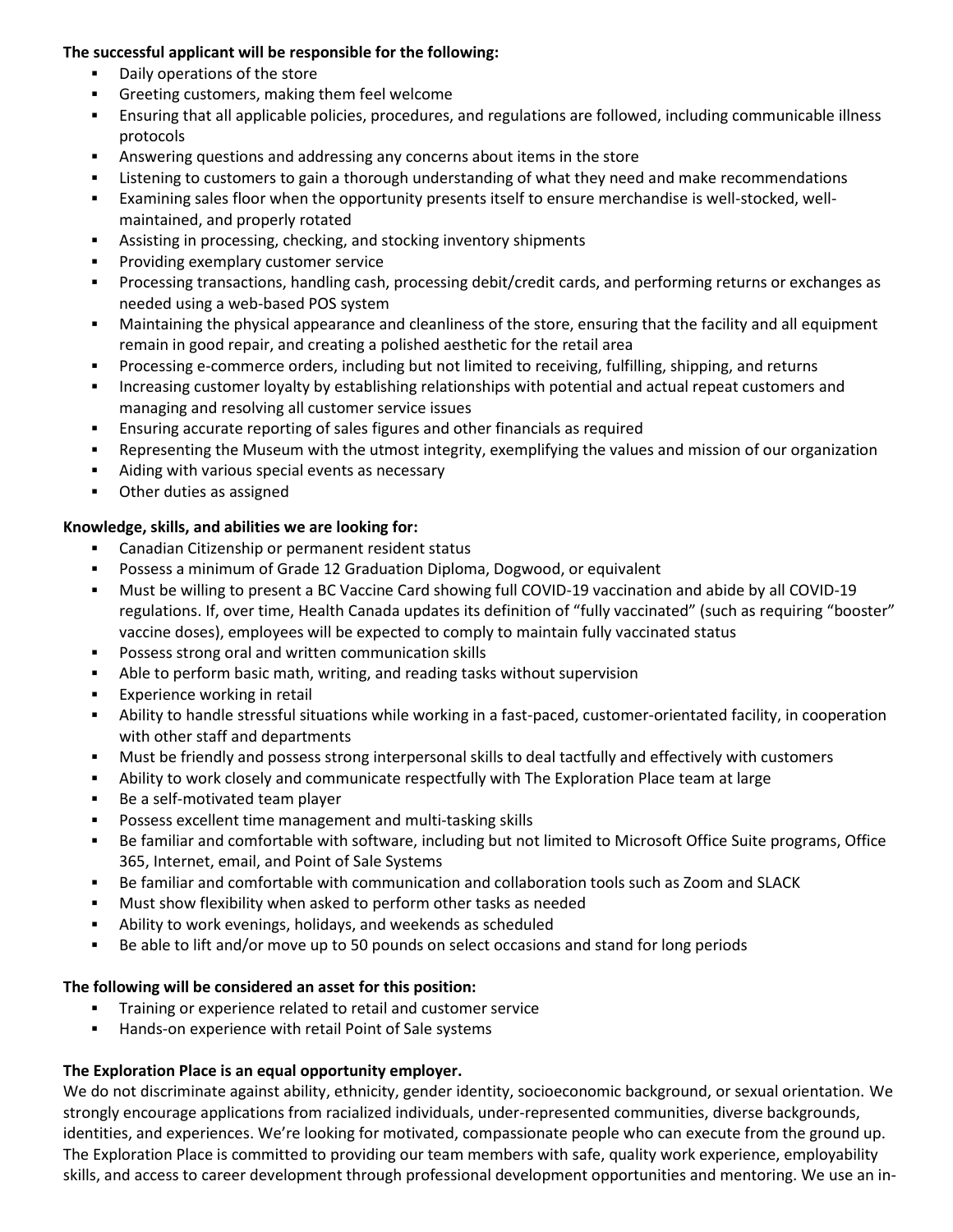### **The successful applicant will be responsible for the following:**

- Daily operations of the store
- Greeting customers, making them feel welcome
- Ensuring that all applicable policies, procedures, and regulations are followed, including communicable illness protocols
- Answering questions and addressing any concerns about items in the store
- **EXECT** Listening to customers to gain a thorough understanding of what they need and make recommendations
- Examining sales floor when the opportunity presents itself to ensure merchandise is well-stocked, wellmaintained, and properly rotated
- Assisting in processing, checking, and stocking inventory shipments
- Providing exemplary customer service
- Processing transactions, handling cash, processing debit/credit cards, and performing returns or exchanges as needed using a web-based POS system
- Maintaining the physical appearance and cleanliness of the store, ensuring that the facility and all equipment remain in good repair, and creating a polished aesthetic for the retail area
- Processing e-commerce orders, including but not limited to receiving, fulfilling, shipping, and returns
- Increasing customer loyalty by establishing relationships with potential and actual repeat customers and managing and resolving all customer service issues
- Ensuring accurate reporting of sales figures and other financials as required
- Representing the Museum with the utmost integrity, exemplifying the values and mission of our organization
- Aiding with various special events as necessary
- Other duties as assigned

## **Knowledge, skills, and abilities we are looking for:**

- Canadian Citizenship or permanent resident status
- Possess a minimum of Grade 12 Graduation Diploma, Dogwood, or equivalent
- Must be willing to present a BC Vaccine Card showing full COVID-19 vaccination and abide by all COVID-19 regulations. If, over time, Health Canada updates its definition of "fully vaccinated" (such as requiring "booster" vaccine doses), employees will be expected to comply to maintain fully vaccinated status
- Possess strong oral and written communication skills
- Able to perform basic math, writing, and reading tasks without supervision
- Experience working in retail
- Ability to handle stressful situations while working in a fast-paced, customer-orientated facility, in cooperation with other staff and departments
- Must be friendly and possess strong interpersonal skills to deal tactfully and effectively with customers
- Ability to work closely and communicate respectfully with The Exploration Place team at large
- Be a self-motivated team player
- Possess excellent time management and multi-tasking skills
- Be familiar and comfortable with software, including but not limited to Microsoft Office Suite programs, Office 365, Internet, email, and Point of Sale Systems
- Be familiar and comfortable with communication and collaboration tools such as Zoom and SLACK
- Must show flexibility when asked to perform other tasks as needed
- Ability to work evenings, holidays, and weekends as scheduled
- Be able to lift and/or move up to 50 pounds on select occasions and stand for long periods

### **The following will be considered an asset for this position:**

- Training or experience related to retail and customer service
- Hands-on experience with retail Point of Sale systems

# **The Exploration Place is an equal opportunity employer.**

We do not discriminate against ability, ethnicity, gender identity, socioeconomic background, or sexual orientation. We strongly encourage applications from racialized individuals, under-represented communities, diverse backgrounds, identities, and experiences. We're looking for motivated, compassionate people who can execute from the ground up. The Exploration Place is committed to providing our team members with safe, quality work experience, employability skills, and access to career development through professional development opportunities and mentoring. We use an in